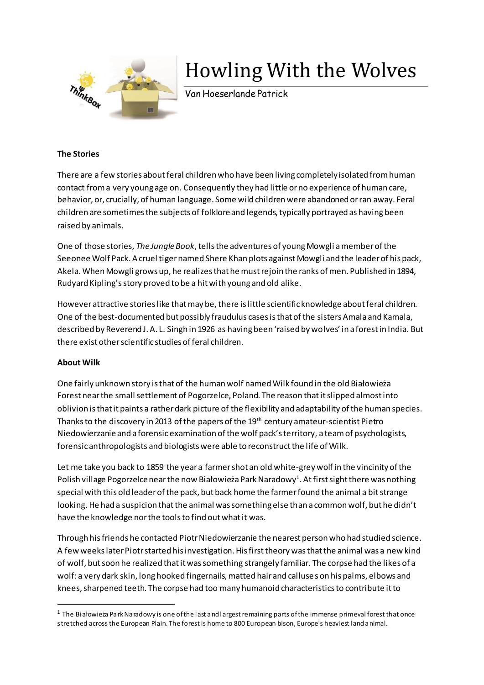

## Howling With the Wolves

Van Hoeserlande Patrick

## **The Stories**

There are a few stories about feral children who have been living completely isolated from human contact from a very young age on. Consequently they had little or no experience of human care, behavior, or, crucially, of human [language.](https://en.wikipedia.org/wiki/Language) Some wild children were abandoned or ran away. Feral children are sometimes the subjects of [folklore](https://en.wikipedia.org/wiki/Folklore)and legends, typically portrayed as having been raised by animals.

One of those stories, *The Jungle Book*, tells the adventures of young Mowgli a member of the Seeonee Wolf Pack. A cruel tiger named Shere Khan plots against Mowgli and the leader of his pack, Akela. When Mowgli grows up, he realizes that he must rejoin the ranks of men. Published in 1894, Rudyard Kipling'sstory proved to be a hit with young and old alike.

However attractive stories like that may be, there is little scientific knowledge about feral children. One of the best-documented but possibly fraudulus cases is that of the sisters Amala and Kamala, described by Reverend J. A. L. Singh in 1926 as having been 'raised by wolves' in a forest in India. But there exist other scientific studies of feral children.

## **About Wilk**

 $\overline{a}$ 

One fairly unknown story is that of the human wolf named Wilk found in the old Białowieża Forest near the small settlement of Pogorzelce, Poland. The reason that it slipped almost into oblivion is that it paints a rather dark picture of the flexibility and adaptability of the human species. Thanks to the discovery in 2013 of the papers of the 19<sup>th</sup> century amateur-scientist Pietro Niedowierzanieand a forensic examination of the wolf pack's territory, a team of psychologists, forensic anthropologists and biologists were able to reconstruct the life of Wilk.

Let me take you back to 1859 the year a farmer shot an old white-grey wolf in the vincinity of the Polish village Pogorzelce near the now Białowieża Park Naradowy $^1$ . At first sight there was nothing special with this old leader of the pack, but back home the farmer found the animal a bit strange looking. He had a suspicion that the animal was something else than a common wolf, but he didn't have the knowledge nor the tools to find out what it was.

Through his friends he contacted Piotr Niedowierzanie the nearest person who had studied science. A few weeks later Piotr started his investigation. His first theory was that the animal was a new kind of wolf, but soon he realized that it was something strangely familiar. The corpse had the likes of a wolf: a very dark skin, long hooked fingernails, matted hair and calluses on his palms, elbows and knees, sharpened teeth. The corpse had too many humanoid characteristics to contribute it to

 $1$  The Białowieża Park Naradowy is one of the last and largest remaining parts of the immense primeval forest that once stretched across the European Plain. The forest is home to 800 European bison, Europe's heaviest land animal.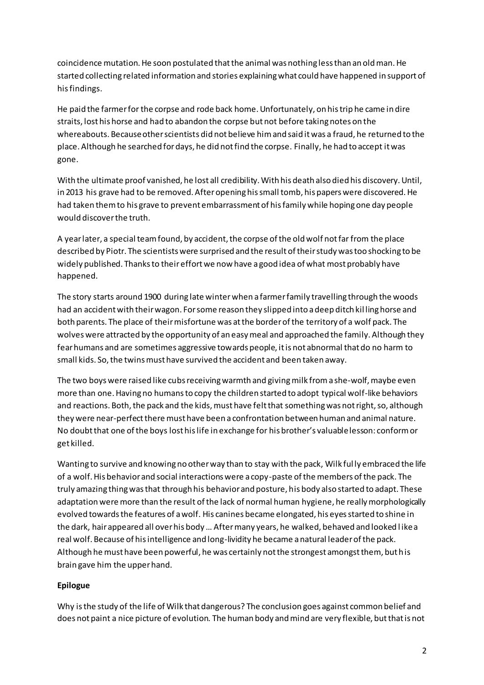coincidence mutation. He soon postulated that the animal was nothing less than an old man. He started collecting related information and stories explaining what could have happened in support of his findings.

He paid the farmer for the corpse and rode back home. Unfortunately, on his trip he came in dire straits, lost his horse and had to abandon the corpse but not before taking notes on the whereabouts. Because other scientists did not believe himand said it was a fraud, he returned to the place. Although he searched for days, he did not find the corpse. Finally, he had to accept it was gone.

With the ultimate proof vanished, he lost all credibility. With his death also died his discovery. Until, in 2013 his grave had to be removed. After opening his small tomb, his papers were discovered. He had taken them to his grave to prevent embarrassment of his family while hoping one day people would discover the truth.

A year later, a special team found, by accident, the corpse of the old wolf not far from the place described by Piotr. The scientists were surprised and the result of their study was too shocking to be widely published. Thanks to theireffort we now have a good idea of what most probably have happened.

The story starts around 1900 during late winter when a farmer family travelling through the woods had an accident with their wagon. For some reason they slipped into a deep ditch kil ling horse and both parents. The place of their misfortune was at the border of the territory of a wolf pack. The wolves were attracted by the opportunity of an easy meal and approached the family. Although they fear humans and are sometimes aggressive towards people, it is not abnormal that do no harm to small kids. So, the twins must have survived the accident and been taken away.

The two boys were raised like cubs receiving warmth and giving milk froma she-wolf, maybe even more than one. Having no humans to copy the children started to adopt typical wolf-like behaviors and reactions. Both, the pack and the kids, must have felt that something was not right, so, although they were near-perfect there must have been a confrontation between human and animal nature. No doubt that one of the boys lost his life in exchange for his brother's valuable lesson: conform or get killed.

Wanting to survive and knowing no other way than to stay with the pack, Wilk ful ly embraced the life of a wolf. His behavior and social interactions were a copy-paste of the members of the pack. The truly amazing thing was that through his behavior and posture, his body also started to adapt. These adaptation were more than the result of the lack of normal human hygiene, he really morphologically evolved towards the features of a wolf. His canines became elongated, his eyes started to shine in the dark, hair appeared all over his body … After many years, he walked, behaved and looked l ike a real wolf. Because of his intelligence and long-lividity he became a natural leader of the pack. Although he must have been powerful, he was certainly not the strongest amongst them, but his brain gave him the upper hand.

## **Epilogue**

Why is the study of the life of Wilk that dangerous? The conclusion goes against common belief and does not paint a nice picture of evolution. The human body and mind are very flexible, but that is not